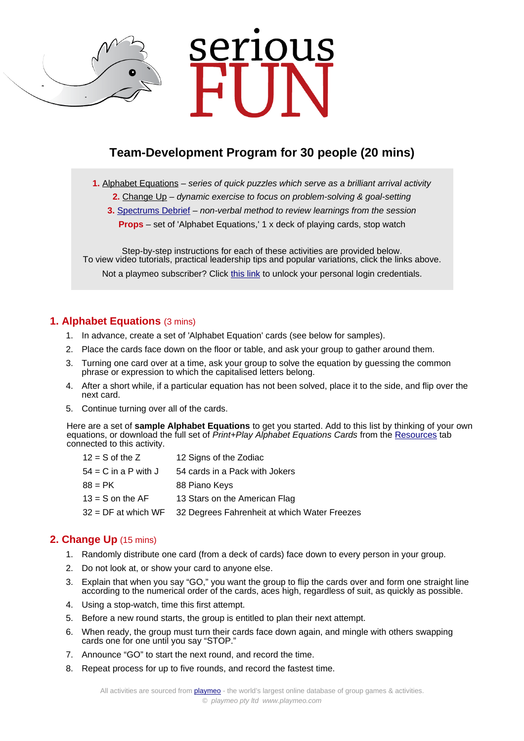# rious

# **Team-Development Program for 30 people (20 mins)**

**1.** [Alphabet Equations](https://www.playmeo.com/activities/fun-team-building-puzzles/alphabet-equations/) – series of quick puzzles which serve as a brilliant arrival activity

- **2.** [Change Up](https://www.playmeo.com/activities/team-building-problem-solving-activities/change-up/) dynamic exercise to focus on problem-solving & goal-setting
- **3.** [Spectrums Debrief](https://www.playmeo.com/activities/debriefing-activities/spectrums-debrief/) non-verbal method to review learnings from the session
	- **Props** set of 'Alphabet Equations,' 1 x deck of playing cards, stop watch

Step-by-step instructions for each of these activities are provided below. To view video tutorials, practical leadership tips and popular variations, click the links above. Not a playmeo subscriber? Click [this link](http://www.playmeo.com/serious-fun-offer) to unlock your personal login credentials.

### **1. Alphabet Equations** (3 mins)

- 1. In advance, create a set of 'Alphabet Equation' cards (see below for samples).
- 2. Place the cards face down on the floor or table, and ask your group to gather around them.
- 3. Turning one card over at a time, ask your group to solve the equation by guessing the common phrase or expression to which the capitalised letters belong.
- 4. After a short while, if a particular equation has not been solved, place it to the side, and flip over the next card.
- 5. Continue turning over all of the cards.

Here are a set of **sample Alphabet Equations** to get you started. Add to this list by thinking of your own equations, or download the full set of Print+Play Alphabet Equations Cards from the [Resources](https://www.playmeo.com/activities/fun-team-building-puzzles/alphabet-equations/) tab connected to this activity.

| $12 = S$ of the Z      | 12 Signs of the Zodiac                                           |
|------------------------|------------------------------------------------------------------|
| $54 = C$ in a P with J | 54 cards in a Pack with Jokers                                   |
| $88 = PK$              | 88 Piano Keys                                                    |
| $13 = S$ on the AF     | 13 Stars on the American Flag                                    |
|                        | 32 = DF at which WF 32 Degrees Fahrenheit at which Water Freezes |
|                        |                                                                  |

### **2. Change Up** (15 mins)

- 1. Randomly distribute one card (from a deck of cards) face down to every person in your group.
- 2. Do not look at, or show your card to anyone else.
- 3. Explain that when you say "GO," you want the group to flip the cards over and form one straight line according to the numerical order of the cards, aces high, regardless of suit, as quickly as possible.
- 4. Using a stop-watch, time this first attempt.
- 5. Before a new round starts, the group is entitled to plan their next attempt.
- 6. When ready, the group must turn their cards face down again, and mingle with others swapping cards one for one until you say "STOP."
- 7. Announce "GO" to start the next round, and record the time.
- 8. Repeat process for up to five rounds, and record the fastest time.